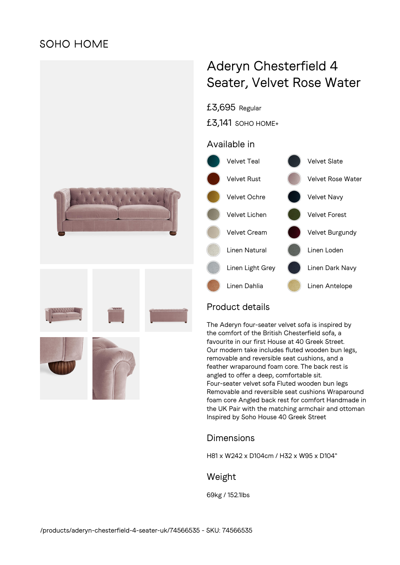## **SOHO HOME**



# Aderyn Chesterfield 4 Seater, Velvet Rose Water



### Product details

The Aderyn four-seater velvet sofa is inspired by the comfort of the British Chesterfield sofa, a favourite in our first House at 40 Greek Street. Our modern take includes fluted wooden bun legs, removable and reversible seat cushions, and a feather wraparound foam core. The back rest is angled to offer a deep, comfortable sit. Four-seater velvet sofa Fluted wooden bun legs Removable and reversible seat cushions Wraparound foam core Angled back rest for comfort Handmade in the UK Pair with the matching armchair and ottoman Inspired by Soho House 40 Greek Street

#### Dimensions

H81 x W242 x D104cm / H32 x W95 x D104"

#### Weight

69kg / 152.1lbs